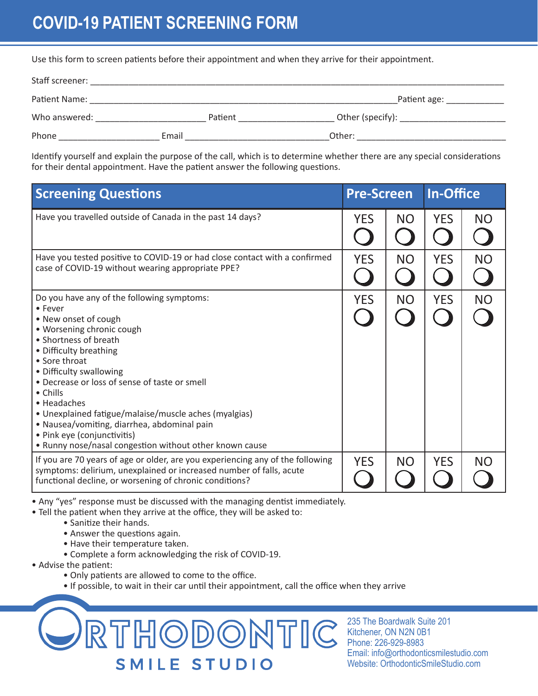## **COVID-19 PATIENT SCREENING FORM**

Use this form to screen patients before their appointment and when they arrive for their appointment.

| Staff screener: |         |                  |
|-----------------|---------|------------------|
| Patient Name:   |         | Patient age:     |
| Who answered:   | Patient | Other (specify): |
| Phone           | Email   | Other:           |

Identify yourself and explain the purpose of the call, which is to determine whether there are any special considerations for their dental appointment. Have the patient answer the following questions.

| <b>Screening Questions</b>                                                                                                                                                                                                                                                                                                                                                                                                                                                              |            | <b>Pre-Screen</b> |            | <b>In-Office</b> |  |
|-----------------------------------------------------------------------------------------------------------------------------------------------------------------------------------------------------------------------------------------------------------------------------------------------------------------------------------------------------------------------------------------------------------------------------------------------------------------------------------------|------------|-------------------|------------|------------------|--|
| Have you travelled outside of Canada in the past 14 days?                                                                                                                                                                                                                                                                                                                                                                                                                               | <b>YES</b> | <b>NO</b>         | <b>YES</b> | <b>NO</b>        |  |
| Have you tested positive to COVID-19 or had close contact with a confirmed<br>case of COVID-19 without wearing appropriate PPE?                                                                                                                                                                                                                                                                                                                                                         |            | <b>NO</b>         | <b>YES</b> | <b>NO</b>        |  |
| Do you have any of the following symptoms:<br>• Fever<br>• New onset of cough<br>· Worsening chronic cough<br>• Shortness of breath<br>• Difficulty breathing<br>• Sore throat<br>• Difficulty swallowing<br>• Decrease or loss of sense of taste or smell<br>• Chills<br>• Headaches<br>• Unexplained fatigue/malaise/muscle aches (myalgias)<br>• Nausea/vomiting, diarrhea, abdominal pain<br>• Pink eye (conjunctivitis)<br>. Runny nose/nasal congestion without other known cause | <b>YES</b> | <b>NO</b>         | <b>YES</b> | <b>NO</b>        |  |
| If you are 70 years of age or older, are you experiencing any of the following<br>symptoms: delirium, unexplained or increased number of falls, acute<br>functional decline, or worsening of chronic conditions?                                                                                                                                                                                                                                                                        |            | <b>NO</b>         | <b>YES</b> | <b>NO</b>        |  |

• Any "yes" response must be discussed with the managing dentist immediately.

• Tell the patient when they arrive at the office, they will be asked to:

- Sanitize their hands.
- Answer the questions again.
- Have their temperature taken.
- Complete a form acknowledging the risk of COVID-19.
- Advise the patient:
	- Only patients are allowed to come to the office.
	- If possible, to wait in their car until their appointment, call the office when they arrive



235 The Boardwalk Suite 201 Kitchener, ON N2N 0B1 Phone: 226-929-8983 Email: info@orthodonticsmilestudio.com Website: OrthodonticSmileStudio.com